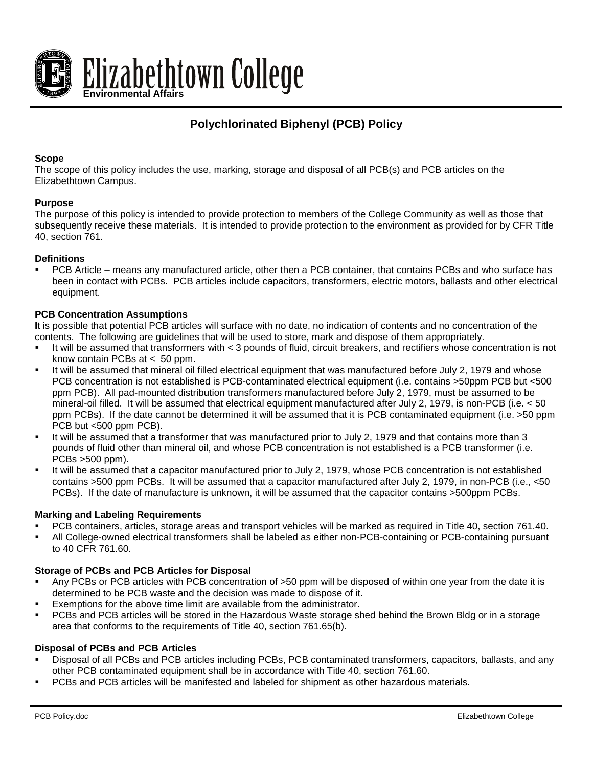

# **Polychlorinated Biphenyl (PCB) Policy**

### **Scope**

The scope of this policy includes the use, marking, storage and disposal of all PCB(s) and PCB articles on the Elizabethtown Campus.

#### **Purpose**

The purpose of this policy is intended to provide protection to members of the College Community as well as those that subsequently receive these materials. It is intended to provide protection to the environment as provided for by CFR Title 40, section 761.

#### **Definitions**

 PCB Article – means any manufactured article, other then a PCB container, that contains PCBs and who surface has been in contact with PCBs. PCB articles include capacitors, transformers, electric motors, ballasts and other electrical equipment.

#### **PCB Concentration Assumptions**

**I**t is possible that potential PCB articles will surface with no date, no indication of contents and no concentration of the contents. The following are guidelines that will be used to store, mark and dispose of them appropriately.

- It will be assumed that transformers with < 3 pounds of fluid, circuit breakers, and rectifiers whose concentration is not know contain PCBs at < 50 ppm.
- It will be assumed that mineral oil filled electrical equipment that was manufactured before July 2, 1979 and whose PCB concentration is not established is PCB-contaminated electrical equipment (i.e. contains >50ppm PCB but <500 ppm PCB). All pad-mounted distribution transformers manufactured before July 2, 1979, must be assumed to be mineral-oil filled. It will be assumed that electrical equipment manufactured after July 2, 1979, is non-PCB (i.e. < 50 ppm PCBs). If the date cannot be determined it will be assumed that it is PCB contaminated equipment (i.e. >50 ppm PCB but <500 ppm PCB).
- It will be assumed that a transformer that was manufactured prior to July 2, 1979 and that contains more than 3 pounds of fluid other than mineral oil, and whose PCB concentration is not established is a PCB transformer (i.e. PCBs >500 ppm).
- It will be assumed that a capacitor manufactured prior to July 2, 1979, whose PCB concentration is not established contains >500 ppm PCBs. It will be assumed that a capacitor manufactured after July 2, 1979, in non-PCB (i.e., <50 PCBs). If the date of manufacture is unknown, it will be assumed that the capacitor contains >500ppm PCBs.

#### **Marking and Labeling Requirements**

- PCB containers, articles, storage areas and transport vehicles will be marked as required in Title 40, section 761.40.
- All College-owned electrical transformers shall be labeled as either non-PCB-containing or PCB-containing pursuant to 40 CFR 761.60.

## **Storage of PCBs and PCB Articles for Disposal**

- Any PCBs or PCB articles with PCB concentration of >50 ppm will be disposed of within one year from the date it is determined to be PCB waste and the decision was made to dispose of it.
- Exemptions for the above time limit are available from the administrator.
- PCBs and PCB articles will be stored in the Hazardous Waste storage shed behind the Brown Bldg or in a storage area that conforms to the requirements of Title 40, section 761.65(b).

#### **Disposal of PCBs and PCB Articles**

- Disposal of all PCBs and PCB articles including PCBs, PCB contaminated transformers, capacitors, ballasts, and any other PCB contaminated equipment shall be in accordance with Title 40, section 761.60.
- PCBs and PCB articles will be manifested and labeled for shipment as other hazardous materials.